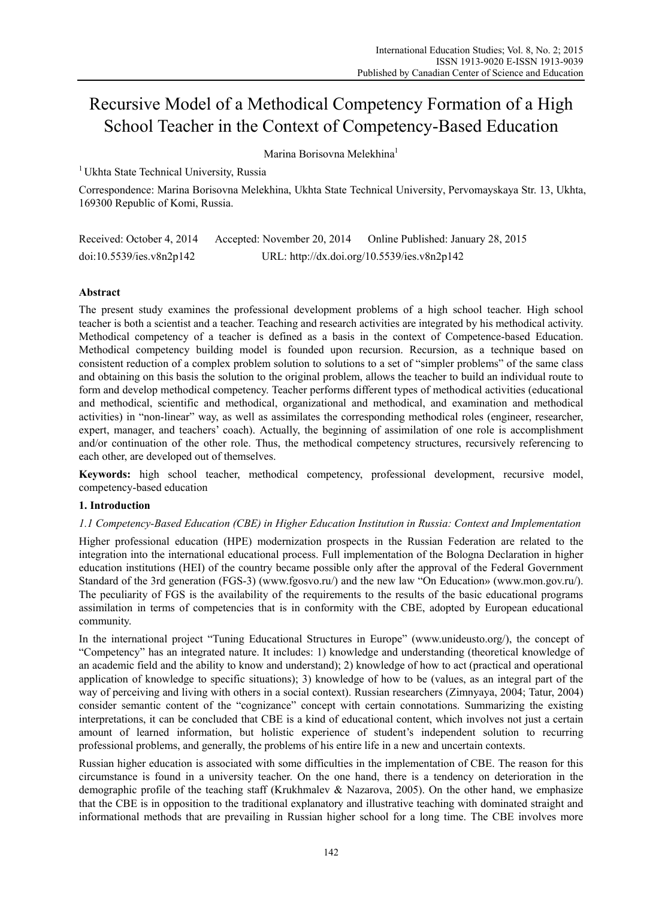# Recursive Model of a Methodical Competency Formation of a High School Teacher in the Context of Competency-Based Education

Marina Borisovna Melekhina<sup>1</sup>

<sup>1</sup> Ukhta State Technical University, Russia

Correspondence: Маrina Borisovna Меlekhina, Ukhta State Technical University, Pervomayskaya Str. 13, Ukhta, 169300 Republic of Komi, Russia.

| Received: October 4, 2014 | Accepted: November 20, 2014                 | Online Published: January 28, 2015 |
|---------------------------|---------------------------------------------|------------------------------------|
| doi:10.5539/ies.v8n2p142  | URL: http://dx.doi.org/10.5539/ies.v8n2p142 |                                    |

## **Abstract**

The present study examines the professional development problems of a high school teacher. High school teacher is both a scientist and a teacher. Teaching and research activities are integrated by his methodical activity. Methodical competency of a teacher is defined as a basis in the context of Competence-based Education. Methodical competency building model is founded upon recursion. Recursion, as a technique based on consistent reduction of a complex problem solution to solutions to a set of "simpler problems" of the same class and obtaining on this basis the solution to the original problem, allows the teacher to build an individual route to form and develop methodical competency. Teacher performs different types of methodical activities (educational and methodical, scientific and methodical, organizational and methodical, and examination and methodical activities) in "non-linear" way, as well as assimilates the corresponding methodical roles (engineer, researcher, expert, manager, and teachers' coach). Actually, the beginning of assimilation of one role is accomplishment and/or continuation of the other role. Thus, the methodical competency structures, recursively referencing to each other, are developed out of themselves.

**Keywords:** high school teacher, methodical competency, professional development, recursive model, competency-based education

## **1. Introduction**

## *1.1 Competency-Based Education (CBE) in Higher Education Institution in Russia: Context and Implementation*

Higher professional education (HPE) modernization prospects in the Russian Federation are related to the integration into the international educational process. Full implementation of the Bologna Declaration in higher education institutions (HEI) of the country became possible only after the approval of the Federal Government Standard of the 3rd generation (FGS-3) (www.fgosvo.ru/) and the new law "On Education» (www.mon.gov.ru/). The peculiarity of FGS is the availability of the requirements to the results of the basic educational programs assimilation in terms of competencies that is in conformity with the CBE, adopted by European educational community.

In the international project "Tuning Educational Structures in Europe" (www.unideusto.org/), the concept of "Competency" has an integrated nature. It includes: 1) knowledge and understanding (theoretical knowledge of an academic field and the ability to know and understand); 2) knowledge of how to act (practical and operational application of knowledge to specific situations); 3) knowledge of how to be (values, as an integral part of the way of perceiving and living with others in a social context). Russian researchers (Zimnyaya, 2004; Tatur, 2004) consider semantic content of the "cognizance" concept with certain connotations. Summarizing the existing interpretations, it can be concluded that CBE is a kind of educational content, which involves not just a certain amount of learned information, but holistic experience of student's independent solution to recurring professional problems, and generally, the problems of his entire life in a new and uncertain contexts.

Russian higher education is associated with some difficulties in the implementation of CBE. The reason for this circumstance is found in a university teacher. On the one hand, there is a tendency on deterioration in the demographic profile of the teaching staff (Krukhmalev & Nazarova, 2005). On the other hand, we emphasize that the CBE is in opposition to the traditional explanatory and illustrative teaching with dominated straight and informational methods that are prevailing in Russian higher school for a long time. The CBE involves more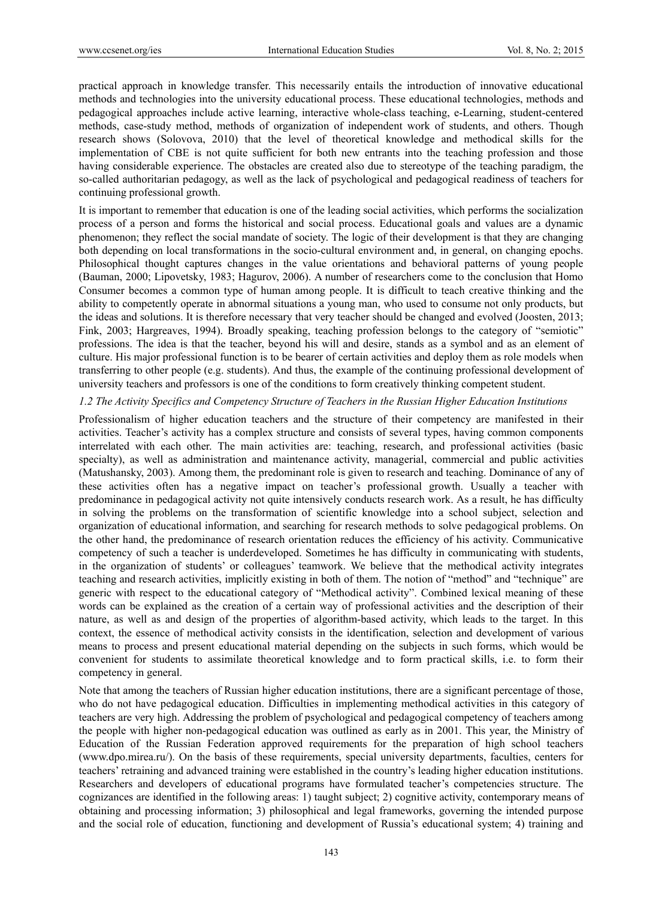practical approach in knowledge transfer. This necessarily entails the introduction of innovative educational methods and technologies into the university educational process. These educational technologies, methods and pedagogical approaches include active learning, interactive whole-class teaching, e-Learning, student-centered methods, case-study method, methods of organization of independent work of students, and others. Though research shows (Solovova, 2010) that the level of theoretical knowledge and methodical skills for the implementation of CBE is not quite sufficient for both new entrants into the teaching profession and those having considerable experience. The obstacles are created also due to stereotype of the teaching paradigm, the so-called authoritarian pedagogy, as well as the lack of psychological and pedagogical readiness of teachers for continuing professional growth.

It is important to remember that education is one of the leading social activities, which performs the socialization process of a person and forms the historical and social process. Educational goals and values are a dynamic phenomenon; they reflect the social mandate of society. The logic of their development is that they are changing both depending on local transformations in the socio-cultural environment and, in general, on changing epochs. Philosophical thought captures changes in the value orientations and behavioral patterns of young people (Bauman, 2000; Lipovetsky, 1983; Hagurov, 2006). A number of researchers come to the conclusion that Homo Consumer becomes a common type of human among people. It is difficult to teach creative thinking and the ability to competently operate in abnormal situations a young man, who used to consume not only products, but the ideas and solutions. It is therefore necessary that very teacher should be changed and evolved (Joosten, 2013; Fink, 2003; Hargreaves, 1994). Broadly speaking, teaching profession belongs to the category of "semiotic" professions. The idea is that the teacher, beyond his will and desire, stands as a symbol and as an element of culture. His major professional function is to be bearer of certain activities and deploy them as role models when transferring to other people (e.g. students). And thus, the example of the continuing professional development of university teachers and professors is one of the conditions to form creatively thinking competent student.

#### *1.2 The Activity Specifics and Competency Structure of Teachers in the Russian Higher Education Institutions*

Professionalism of higher education teachers and the structure of their competency are manifested in their activities. Teacher's activity has a complex structure and consists of several types, having common components interrelated with each other. The main activities are: teaching, research, and professional activities (basic specialty), as well as administration and maintenance activity, managerial, commercial and public activities (Matushansky, 2003). Among them, the predominant role is given to research and teaching. Dominance of any of these activities often has a negative impact on teacher's professional growth. Usually a teacher with predominance in pedagogical activity not quite intensively conducts research work. As a result, he has difficulty in solving the problems on the transformation of scientific knowledge into a school subject, selection and organization of educational information, and searching for research methods to solve pedagogical problems. On the other hand, the predominance of research orientation reduces the efficiency of his activity. Communicative competency of such a teacher is underdeveloped. Sometimes he has difficulty in communicating with students, in the organization of students' or colleagues' teamwork. We believe that the methodical activity integrates teaching and research activities, implicitly existing in both of them. The notion of "method" and "technique" are generic with respect to the educational category of "Methodical activity". Combined lexical meaning of these words can be explained as the creation of a certain way of professional activities and the description of their nature, as well as and design of the properties of algorithm-based activity, which leads to the target. In this context, the essence of methodical activity consists in the identification, selection and development of various means to process and present educational material depending on the subjects in such forms, which would be convenient for students to assimilate theoretical knowledge and to form practical skills, i.e. to form their competency in general.

Note that among the teachers of Russian higher education institutions, there are a significant percentage of those, who do not have pedagogical education. Difficulties in implementing methodical activities in this category of teachers are very high. Addressing the problem of psychological and pedagogical competency of teachers among the people with higher non-pedagogical education was outlined as early as in 2001. This year, the Ministry of Education of the Russian Federation approved requirements for the preparation of high school teachers (www.dpo.mirea.ru/). On the basis of these requirements, special university departments, faculties, centers for teachers' retraining and advanced training were established in the country's leading higher education institutions. Researchers and developers of educational programs have formulated teacher's competencies structure. The cognizances are identified in the following areas: 1) taught subject; 2) cognitive activity, contemporary means of obtaining and processing information; 3) philosophical and legal frameworks, governing the intended purpose and the social role of education, functioning and development of Russia's educational system; 4) training and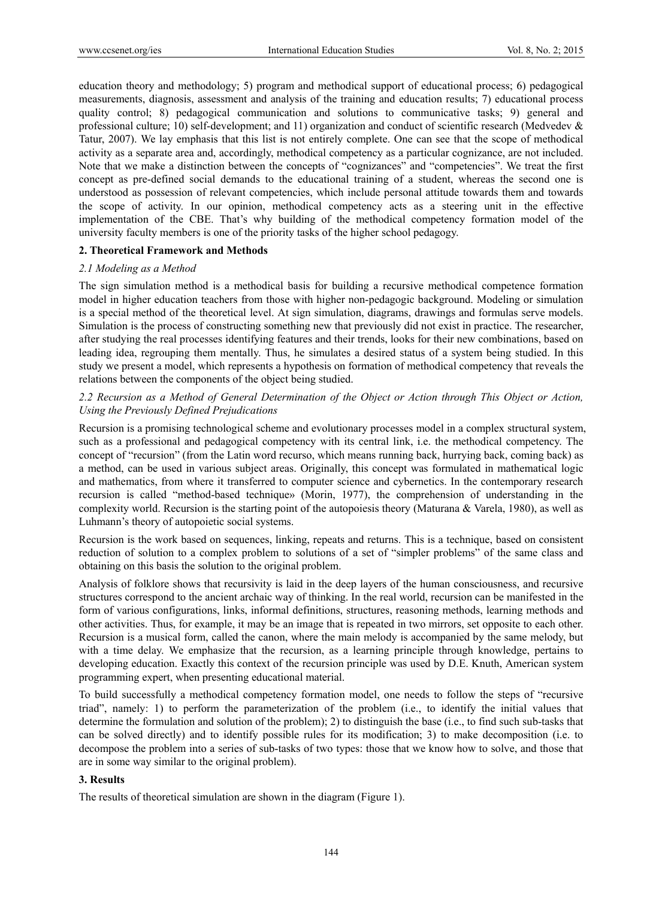education theory and methodology; 5) program and methodical support of educational process; 6) pedagogical measurements, diagnosis, assessment and analysis of the training and education results; 7) educational process quality control; 8) pedagogical communication and solutions to communicative tasks; 9) general and professional culture; 10) self-development; and 11) organization and conduct of scientific research (Medvedev & Tatur, 2007). We lay emphasis that this list is not entirely complete. One can see that the scope of methodical activity as a separate area and, accordingly, methodical competency as a particular cognizance, are not included. Note that we make a distinction between the concepts of "cognizances" and "competencies". We treat the first concept as pre-defined social demands to the educational training of a student, whereas the second one is understood as possession of relevant competencies, which include personal attitude towards them and towards the scope of activity. In our opinion, methodical competency acts as a steering unit in the effective implementation of the CBE. That's why building of the methodical competency formation model of the university faculty members is one of the priority tasks of the higher school pedagogy.

#### **2. Theoretical Framework and Methods**

## *2.1 Modeling as a Method*

The sign simulation method is a methodical basis for building a recursive methodical competence formation model in higher education teachers from those with higher non-pedagogic background. Modeling or simulation is a special method of the theoretical level. At sign simulation, diagrams, drawings and formulas serve models. Simulation is the process of constructing something new that previously did not exist in practice. The researcher, after studying the real processes identifying features and their trends, looks for their new combinations, based on leading idea, regrouping them mentally. Thus, he simulates a desired status of a system being studied. In this study we present a model, which represents a hypothesis on formation of methodical competency that reveals the relations between the components of the object being studied.

*2.2 Recursion as a Method of General Determination of the Object or Action through This Object or Action, Using the Previously Defined Prejudications* 

Recursion is a promising technological scheme and evolutionary processes model in a complex structural system, such as a professional and pedagogical competency with its central link, i.e. the methodical competency. The concept of "recursion" (from the Latin word recurso, which means running back, hurrying back, coming back) as a method, can be used in various subject areas. Originally, this concept was formulated in mathematical logic and mathematics, from where it transferred to computer science and cybernetics. In the contemporary research recursion is called "method-based technique» (Morin, 1977), the comprehension of understanding in the complexity world. Recursion is the starting point of the autopoiesis theory (Maturana & Varela, 1980), as well as Luhmann's theory of autopoietic social systems.

Recursion is the work based on sequences, linking, repeats and returns. This is a technique, based on consistent reduction of solution to a complex problem to solutions of a set of "simpler problems" of the same class and obtaining on this basis the solution to the original problem.

Analysis of folklore shows that recursivity is laid in the deep layers of the human consciousness, and recursive structures correspond to the ancient archaic way of thinking. In the real world, recursion can be manifested in the form of various configurations, links, informal definitions, structures, reasoning methods, learning methods and other activities. Thus, for example, it may be an image that is repeated in two mirrors, set opposite to each other. Recursion is a musical form, called the canon, where the main melody is accompanied by the same melody, but with a time delay. We emphasize that the recursion, as a learning principle through knowledge, pertains to developing education. Exactly this context of the recursion principle was used by D.E. Knuth, American system programming expert, when presenting educational material.

To build successfully a methodical competency formation model, one needs to follow the steps of "recursive triad", namely: 1) to perform the parameterization of the problem (i.e., to identify the initial values that determine the formulation and solution of the problem); 2) to distinguish the base (i.e., to find such sub-tasks that can be solved directly) and to identify possible rules for its modification; 3) to make decomposition (i.e. to decompose the problem into a series of sub-tasks of two types: those that we know how to solve, and those that are in some way similar to the original problem).

## **3. Results**

The results of theoretical simulation are shown in the diagram (Figure 1).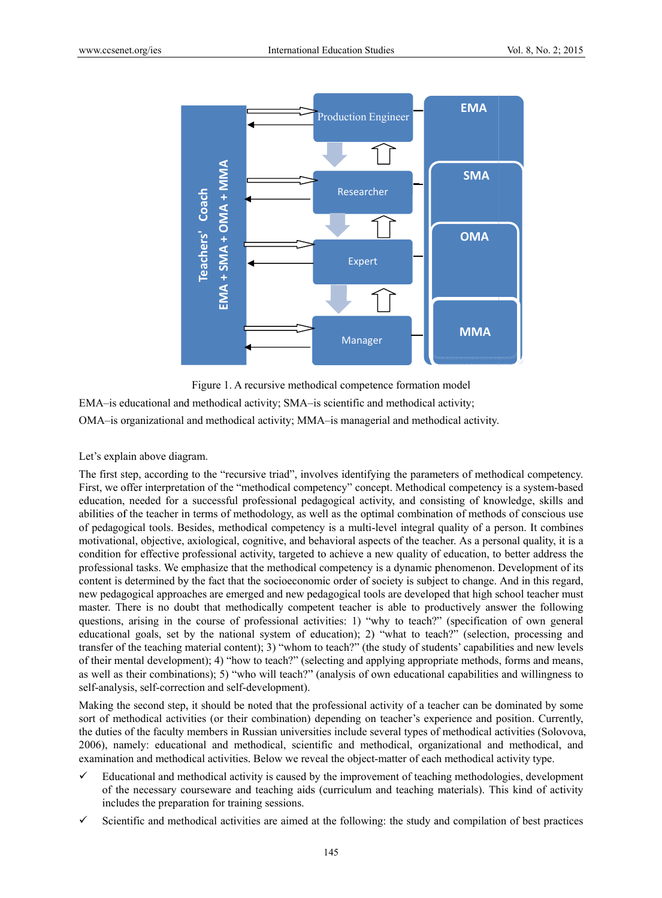

Figure 1. A recursive methodical competence formation model

EMA-is educational and methodical activity; SMA-is scientific and methodical activity; OMA-is organizational and methodical activity; MMA-is managerial and methodical activity.

## Let's explain above diagram.

The first step, according to the "recursive triad", involves identifying the parameters of methodical competency. First, we offer interpretation of the "methodical competency" concept. Methodical competency is a system-based education, needed for a successful professional pedagogical activity, and consisting of knowledge, skills and abilities of the teacher in terms of methodology, as well as the optimal combination of methods of conscious use of pedagogical tools. Besides, methodical competency is a multi-level integral quality of a person. It combines motivational, objective, axiological, cognitive, and behavioral aspects of the teacher. As a personal quality, it is a condition for effective professional activity, targeted to achieve a new quality of education, to better address the professional tasks. We emphasize that the methodical competency is a dynamic phenomenon. Development of its content is determined by the fact that the socioeconomic order of society is subject to change. And in this regard, new pedagogical approaches are emerged and new pedagogical tools are developed that high school teacher must master. There is no doubt that methodically competent teacher is able to productively answer the following questions, arising in the course of professional activities: 1) "why to teach?" (specification of own general educational goals, set by the national system of education); 2) "what to teach?" (selection, processing and transfer of the teaching material content); 3) "whom to teach?" (the study of students' capabilities and new levels of their mental development); 4) "how to teach?" (selecting and applying appropriate methods, forms and means, as well as their combinations); 5) "who will teach?" (analysis of own educational capabilities and willingness to self-analysis, self-correction and self-development). **Hodical activity**<br> **Concerned Concerned Concerned Concerned Concerned Concerned Concerned Concerned Concerned Concerned Concerned Concerned Concerned Concerned Concerned Concerned Concerned Concerned Concerned Concerned C** 

Making the second step, it should be noted that the professional activity of a teacher can be dominated by some sort of methodical activities (or their combination) depending on teacher's experience and position. Currently, the duties of the faculty members in Russian universities include several types of methodical activities (Solovova, 2006), namely: educational and methodical, scientific and methodical, organizational and methodical, and examination and methodical activities. Below we reveal the object-matter of each methodical activity type.

- $\checkmark$  Educational and methodical activity is caused by the improvement of teaching methodologies, development of the necessary courseware and teaching aids (curriculum and teaching materials). This kind of activity includes the preparation for training sessions.
- $\checkmark$  Scientific and methodical activities are aimed at the following: the study and compilation of best practices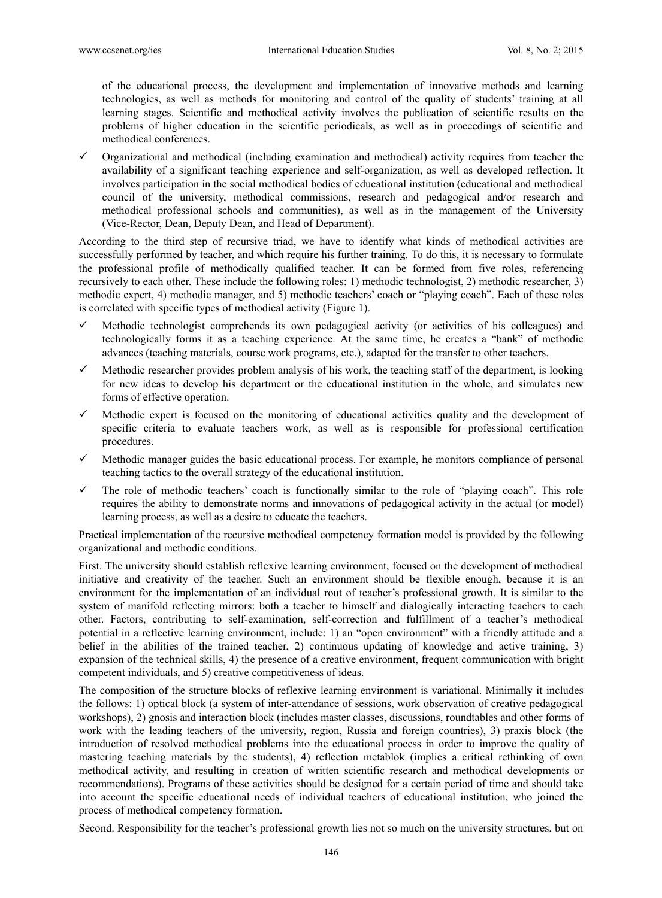of the educational process, the development and implementation of innovative methods and learning technologies, as well as methods for monitoring and control of the quality of students' training at all learning stages. Scientific and methodical activity involves the publication of scientific results on the problems of higher education in the scientific periodicals, as well as in proceedings of scientific and methodical conferences.

 Organizational and methodical (including examination and methodical) activity requires from teacher the availability of a significant teaching experience and self-organization, as well as developed reflection. It involves participation in the social methodical bodies of educational institution (educational and methodical council of the university, methodical commissions, research and pedagogical and/or research and methodical professional schools and communities), as well as in the management of the University (Vice-Rector, Dean, Deputy Dean, and Head of Department).

According to the third step of recursive triad, we have to identify what kinds of methodical activities are successfully performed by teacher, and which require his further training. To do this, it is necessary to formulate the professional profile of methodically qualified teacher. It can be formed from five roles, referencing recursively to each other. These include the following roles: 1) methodic technologist, 2) methodic researcher, 3) methodic expert, 4) methodic manager, and 5) methodic teachers' coach or "playing coach". Each of these roles is correlated with specific types of methodical activity (Figure 1).

- Methodic technologist comprehends its own pedagogical activity (or activities of his colleagues) and technologically forms it as a teaching experience. At the same time, he creates a "bank" of methodic advances (teaching materials, course work programs, etc.), adapted for the transfer to other teachers.
- $\checkmark$  Methodic researcher provides problem analysis of his work, the teaching staff of the department, is looking for new ideas to develop his department or the educational institution in the whole, and simulates new forms of effective operation.
- $\checkmark$  Methodic expert is focused on the monitoring of educational activities quality and the development of specific criteria to evaluate teachers work, as well as is responsible for professional certification procedures.
- $\checkmark$  Methodic manager guides the basic educational process. For example, he monitors compliance of personal teaching tactics to the overall strategy of the educational institution.
- The role of methodic teachers' coach is functionally similar to the role of "playing coach". This role requires the ability to demonstrate norms and innovations of pedagogical activity in the actual (or model) learning process, as well as a desire to educate the teachers.

Practical implementation of the recursive methodical competency formation model is provided by the following organizational and methodic conditions.

First. The university should establish reflexive learning environment, focused on the development of methodical initiative and creativity of the teacher. Such an environment should be flexible enough, because it is an environment for the implementation of an individual rout of teacher's professional growth. It is similar to the system of manifold reflecting mirrors: both a teacher to himself and dialogically interacting teachers to each other. Factors, contributing to self-examination, self-correction and fulfillment of a teacher's methodical potential in a reflective learning environment, include: 1) an "open environment" with a friendly attitude and a belief in the abilities of the trained teacher, 2) continuous updating of knowledge and active training, 3) expansion of the technical skills, 4) the presence of a creative environment, frequent communication with bright competent individuals, and 5) creative competitiveness of ideas.

The composition of the structure blocks of reflexive learning environment is variational. Minimally it includes the follows: 1) optical block (a system of inter-attendance of sessions, work observation of creative pedagogical workshops), 2) gnosis and interaction block (includes master classes, discussions, roundtables and other forms of work with the leading teachers of the university, region, Russia and foreign countries), 3) praxis block (the introduction of resolved methodical problems into the educational process in order to improve the quality of mastering teaching materials by the students), 4) reflection metablok (implies a critical rethinking of own methodical activity, and resulting in creation of written scientific research and methodical developments or recommendations). Programs of these activities should be designed for a certain period of time and should take into account the specific educational needs of individual teachers of educational institution, who joined the process of methodical competency formation.

Second. Responsibility for the teacher's professional growth lies not so much on the university structures, but on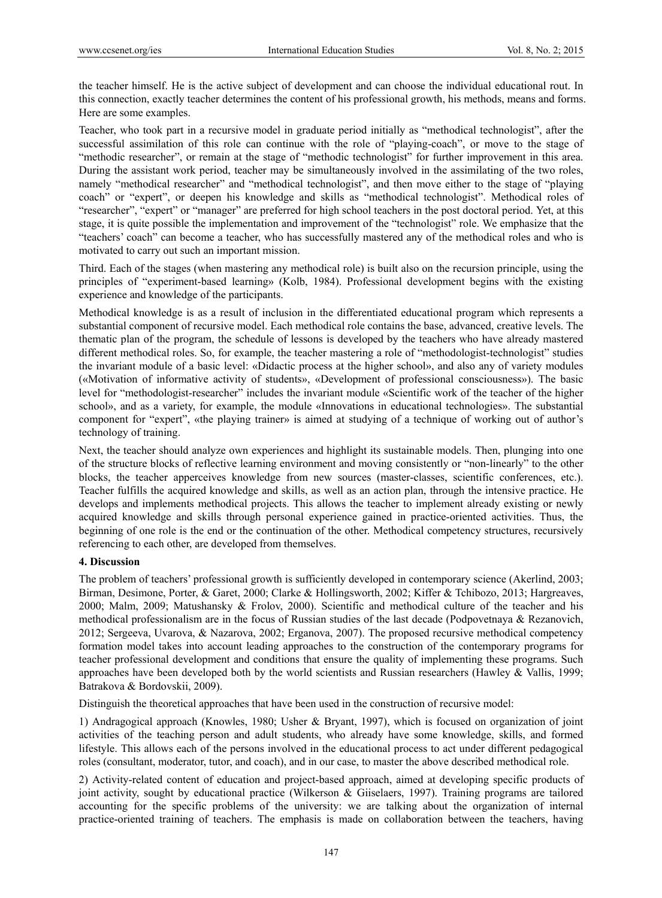the teacher himself. He is the active subject of development and can choose the individual educational rout. In this connection, exactly teacher determines the content of his professional growth, his methods, means and forms. Here are some examples.

Teacher, who took part in a recursive model in graduate period initially as "methodical technologist", after the successful assimilation of this role can continue with the role of "playing-coach", or move to the stage of "methodic researcher", or remain at the stage of "methodic technologist" for further improvement in this area. During the assistant work period, teacher may be simultaneously involved in the assimilating of the two roles, namely "methodical researcher" and "methodical technologist", and then move either to the stage of "playing coach" or "expert", or deepen his knowledge and skills as "methodical technologist". Methodical roles of "researcher", "expert" or "manager" are preferred for high school teachers in the post doctoral period. Yet, at this stage, it is quite possible the implementation and improvement of the "technologist" role. We emphasize that the "teachers' coach" can become a teacher, who has successfully mastered any of the methodical roles and who is motivated to carry out such an important mission.

Third. Each of the stages (when mastering any methodical role) is built also on the recursion principle, using the principles of "experiment-based learning» (Kolb, 1984). Professional development begins with the existing experience and knowledge of the participants.

Methodical knowledge is as a result of inclusion in the differentiated educational program which represents a substantial component of recursive model. Each methodical role contains the base, advanced, creative levels. The thematic plan of the program, the schedule of lessons is developed by the teachers who have already mastered different methodical roles. So, for example, the teacher mastering a role of "methodologist-technologist" studies the invariant module of a basic level: «Didactic process at the higher school», and also any of variety modules («Motivation of informative activity of students», «Development of professional consciousness»). The basic level for "methodologist-researcher" includes the invariant module «Scientific work of the teacher of the higher school», and as a variety, for example, the module «Innovations in educational technologies». The substantial component for "expert", «the playing trainer» is aimed at studying of a technique of working out of author's technology of training.

Next, the teacher should analyze own experiences and highlight its sustainable models. Then, plunging into one of the structure blocks of reflective learning environment and moving consistently or "non-linearly" to the other blocks, the teacher apperceives knowledge from new sources (master-classes, scientific conferences, etc.). Teacher fulfills the acquired knowledge and skills, as well as an action plan, through the intensive practice. He develops and implements methodical projects. This allows the teacher to implement already existing or newly acquired knowledge and skills through personal experience gained in practice-oriented activities. Thus, the beginning of one role is the end or the continuation of the other. Methodical competency structures, recursively referencing to each other, are developed from themselves.

## **4. Discussion**

The problem of teachers' professional growth is sufficiently developed in contemporary science (Akerlind, 2003; Birman, Desimone, Porter, & Garet, 2000; Clarke & Hollingsworth, 2002; Kiffer & Tchibozo, 2013; Hargreaves, 2000; Malm, 2009; Matushansky & Frolov, 2000). Scientific and methodical culture of the teacher and his methodical professionalism are in the focus of Russian studies of the last decade (Podpovetnaya & Rezanovich, 2012; Sergeeva, Uvarova, & Nazarova, 2002; Erganova, 2007). The proposed recursive methodical competency formation model takes into account leading approaches to the construction of the contemporary programs for teacher professional development and conditions that ensure the quality of implementing these programs. Such approaches have been developed both by the world scientists and Russian researchers (Hawley & Vallis, 1999; Batrakova & Bordovskii, 2009).

Distinguish the theoretical approaches that have been used in the construction of recursive model:

1) Andragogical approach (Knowles, 1980; Usher & Bryant, 1997), which is focused on organization of joint activities of the teaching person and adult students, who already have some knowledge, skills, and formed lifestyle. This allows each of the persons involved in the educational process to act under different pedagogical roles (consultant, moderator, tutor, and coach), and in our case, to master the above described methodical role.

2) Activity-related content of education and project-based approach, aimed at developing specific products of joint activity, sought by educational practice (Wilkerson & Giiselaers, 1997). Training programs are tailored accounting for the specific problems of the university: we are talking about the organization of internal practice-oriented training of teachers. The emphasis is made on collaboration between the teachers, having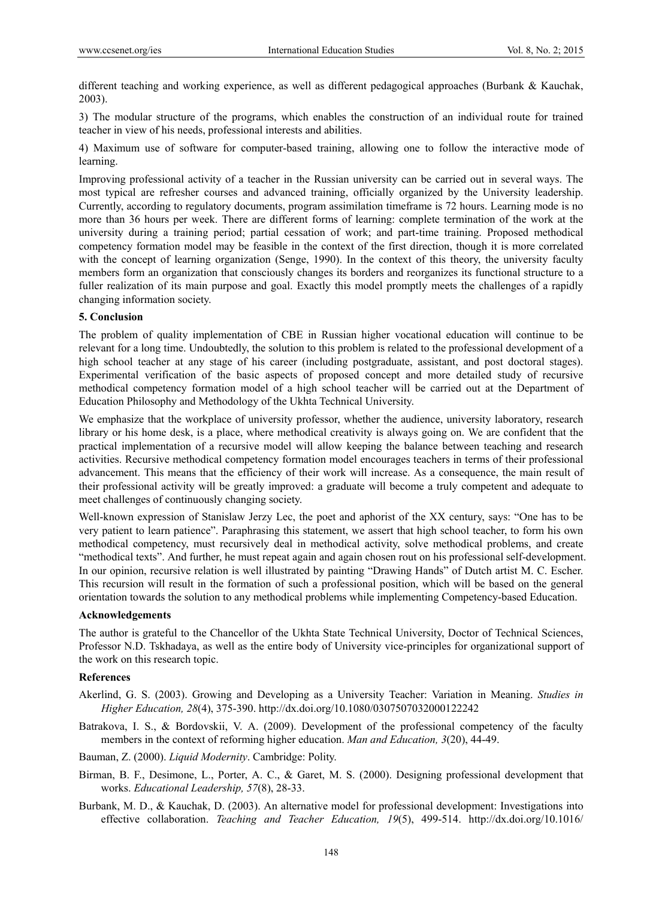different teaching and working experience, as well as different pedagogical approaches (Burbank & Kauchak, 2003).

3) The modular structure of the programs, which enables the construction of an individual route for trained teacher in view of his needs, professional interests and abilities.

4) Maximum use of software for computer-based training, allowing one to follow the interactive mode of learning.

Improving professional activity of a teacher in the Russian university can be carried out in several ways. The most typical are refresher courses and advanced training, officially organized by the University leadership. Currently, according to regulatory documents, program assimilation timeframe is 72 hours. Learning mode is no more than 36 hours per week. There are different forms of learning: complete termination of the work at the university during a training period; partial cessation of work; and part-time training. Proposed methodical competency formation model may be feasible in the context of the first direction, though it is more correlated with the concept of learning organization (Senge, 1990). In the context of this theory, the university faculty members form an organization that consciously changes its borders and reorganizes its functional structure to a fuller realization of its main purpose and goal. Exactly this model promptly meets the challenges of a rapidly changing information society.

## **5. Conclusion**

The problem of quality implementation of CBE in Russian higher vocational education will continue to be relevant for a long time. Undoubtedly, the solution to this problem is related to the professional development of a high school teacher at any stage of his career (including postgraduate, assistant, and post doctoral stages). Experimental verification of the basic aspects of proposed concept and more detailed study of recursive methodical competency formation model of a high school teacher will be carried out at the Department of Education Philosophy and Methodology of the Ukhta Technical University.

We emphasize that the workplace of university professor, whether the audience, university laboratory, research library or his home desk, is a place, where methodical creativity is always going on. We are confident that the practical implementation of a recursive model will allow keeping the balance between teaching and research activities. Recursive methodical competency formation model encourages teachers in terms of their professional advancement. This means that the efficiency of their work will increase. As a consequence, the main result of their professional activity will be greatly improved: a graduate will become a truly competent and adequate to meet challenges of continuously changing society.

Well-known expression of Stanislaw Jerzy Lec, the poet and aphorist of the XX century, says: "One has to be very patient to learn patience". Paraphrasing this statement, we assert that high school teacher, to form his own methodical competency, must recursively deal in methodical activity, solve methodical problems, and create "methodical texts". And further, he must repeat again and again chosen rout on his professional self-development. In our opinion, recursive relation is well illustrated by painting "Drawing Hands" of Dutch artist M. C. Escher. This recursion will result in the formation of such a professional position, which will be based on the general orientation towards the solution to any methodical problems while implementing Competency-based Education.

## **Acknowledgements**

The author is grateful to the Chancellor of the Ukhta State Technical University, Doctor of Technical Sciences, Professor N.D. Tskhadaya, as well as the entire body of University vice-principles for organizational support of the work on this research topic.

# **References**

- Akerlind, G. S. (2003). Growing and Developing as a University Teacher: Variation in Meaning. *Studies in Higher Education, 28*(4), 375-390. http://dx.doi.org/10.1080/0307507032000122242
- Batrakova, I. S., & Bordovskii, V. A. (2009). Development of the professional competency of the faculty members in the context of reforming higher education. *Man and Education, 3*(20), 44-49.
- Bauman, Z. (2000). *Liquid Modernity*. Cambridge: Polity.
- Birman, B. F., Desimone, L., Porter, A. C., & Garet, M. S. (2000). Designing professional development that works. *Educational Leadership, 57*(8), 28-33.
- Burbank, M. D., & Kauchak, D. (2003). An alternative model for professional development: Investigations into effective collaboration. *Teaching and Teacher Education, 19*(5), 499-514. http://dx.doi.org/10.1016/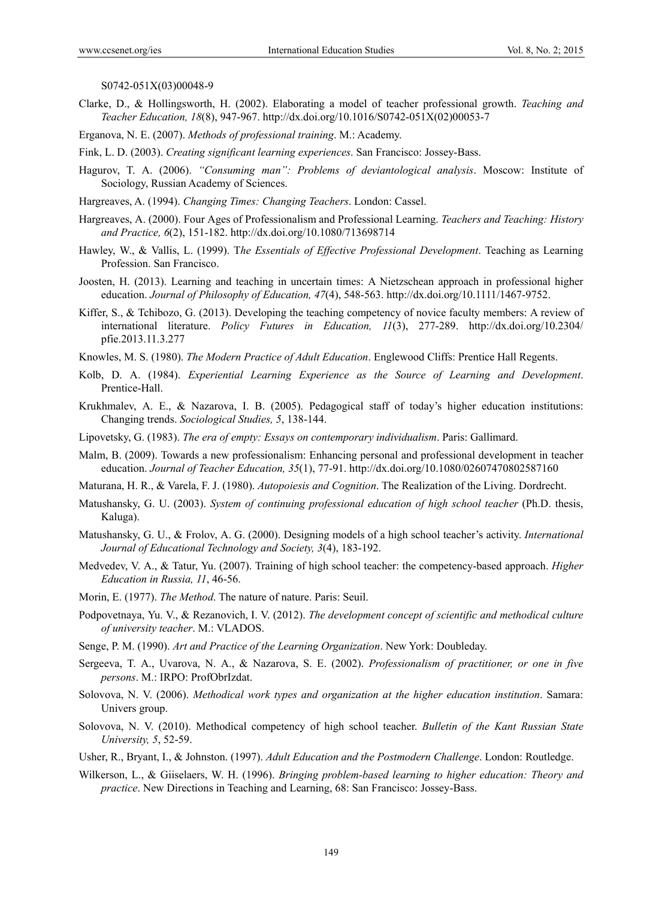S0742-051X(03)00048-9

- Clarke, D., & Hollingsworth, H. (2002). Elaborating a model of teacher professional growth. *Teaching and Teacher Education, 18*(8), 947-967. http://dx.doi.org/10.1016/S0742-051X(02)00053-7
- Erganova, N. E. (2007). *Methods of professional training*. M.: Academy.

Fink, L. D. (2003). *Creating significant learning experiences*. San Francisco: Jossey-Bass.

- Hagurov, T. A. (2006). *"Consuming man": Problems of deviantological analysis*. Moscow: Institute of Sociology, Russian Academy of Sciences.
- Hargreaves, A. (1994). *Changing Times: Changing Teachers*. London: Cassel.
- Hargreaves, A. (2000). Four Ages of Professionalism and Professional Learning. *Teachers and Teaching: History and Practice, 6*(2), 151-182. http://dx.doi.org/10.1080/713698714
- Hawley, W., & Vallis, L. (1999). T*he Essentials of Effective Professional Development*. Teaching as Learning Profession. San Francisco.
- Joosten, H. (2013). Learning and teaching in uncertain times: A Nietzschean approach in professional higher education. *Journal of Philosophy of Education, 47*(4), 548-563. http://dx.doi.org/10.1111/1467-9752.
- Kiffer, S., & Tchibozo, G. (2013). Developing the teaching competency of novice faculty members: A review of international literature. *Policy Futures in Education, 11*(3), 277-289. http://dx.doi.org/10.2304/ pfie.2013.11.3.277
- Knowles, M. S. (1980). *The Modern Practice of Adult Education*. Englewood Cliffs: Prentice Hall Regents.
- Kolb, D. A. (1984). *Experiential Learning Experience as the Source of Learning and Development*. Prentice-Hall.
- Krukhmalev, A. E., & Nazarova, I. B. (2005). Pedagogical staff of today's higher education institutions: Changing trends. *Sociological Studies, 5*, 138-144.
- Lipovetsky, G. (1983). *The era of empty: Essays on contemporary individualism*. Paris: Gallimard.
- Malm, B. (2009). Towards a new professionalism: Enhancing personal and professional development in teacher education. *Journal of Teacher Education, 35*(1), 77-91. http://dx.doi.org/10.1080/02607470802587160
- Maturana, H. R., & Varela, F. J. (1980). *Autopoiesis and Cognition*. The Realization of the Living. Dordrecht.
- Matushansky, G. U. (2003). *System of continuing professional education of high school teacher* (Ph.D. thesis, Kaluga).
- Matushansky, G. U., & Frolov, A. G. (2000). Designing models of a high school teacher's activity. *International Journal of Educational Technology and Society, 3*(4), 183-192.
- Medvedev, V. A., & Tatur, Yu. (2007). Training of high school teacher: the competency-based approach. *Higher Education in Russia, 11*, 46-56.
- Morin, E. (1977). *The Method*. The nature of nature. Paris: Seuil.
- Podpovetnaya, Yu. V., & Rezanovich, I. V. (2012). *The development concept of scientific and methodical culture of university teacher*. M.: VLADOS.
- Senge, P. M. (1990). *Art and Practice of the Learning Organization*. New York: Doubleday.
- Sergeeva, T. A., Uvarova, N. A., & Nazarova, S. E. (2002). *Professionalism of practitioner, or one in five persons*. M.: IRPO: ProfObrIzdat.
- Solovova, N. V. (2006). *Methodical work types and organization at the higher education institution*. Samara: Univers group.
- Solovova, N. V. (2010). Methodical competency of high school teacher. *Bulletin of the Kant Russian State University, 5*, 52-59.
- Usher, R., Bryant, I., & Johnston. (1997). *Adult Education and the Postmodern Challenge*. London: Routledge.
- Wilkerson, L., & Giiselaers, W. H. (1996). *Bringing problem-based learning to higher education: Theory and practice*. New Directions in Teaching and Learning, 68: San Francisco: Jossey-Bass.